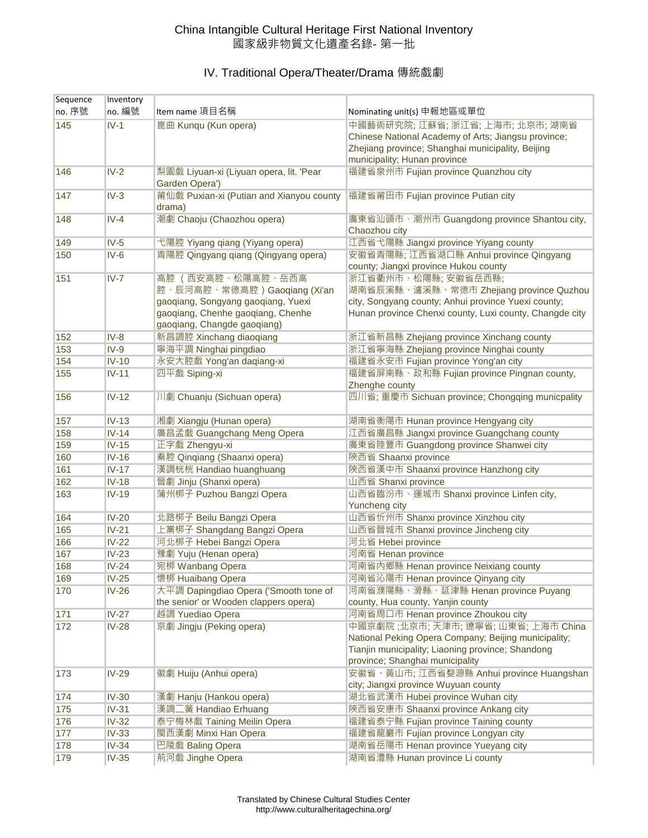| Sequence | Inventory    |                                                           |                                                                                                           |
|----------|--------------|-----------------------------------------------------------|-----------------------------------------------------------------------------------------------------------|
| no. 序號   | no. 編號       | Item name 項目名稱                                            | Nominating unit(s) 申報地區或單位                                                                                |
| 145      | $IV-1$       | 崑曲 Kunqu (Kun opera)                                      | 中國藝術研究院; 江蘇省; 浙江省; 上海市; 北京市; 湖南省                                                                          |
|          |              |                                                           | Chinese National Academy of Arts; Jiangsu province;                                                       |
|          |              |                                                           | Zhejiang province; Shanghai municipality, Beijing                                                         |
|          |              |                                                           | municipality; Hunan province                                                                              |
| 146      | $IV-2$       | 梨園戲 Liyuan-xi (Liyuan opera, lit. 'Pear<br>Garden Opera') | 福建省泉州市 Fujian province Quanzhou city                                                                      |
| 147      | $IV-3$       | 莆仙戲 Puxian-xi (Putian and Xianyou county                  | 福建省莆田市 Fujian province Putian city                                                                        |
|          |              | drama)                                                    |                                                                                                           |
| 148      | $IV-4$       | 潮劇 Chaoju (Chaozhou opera)                                | 廣東省汕頭市、潮州市 Guangdong province Shantou city,                                                               |
|          |              |                                                           | Chaozhou city                                                                                             |
| 149      | $IV-5$       | 弋陽腔 Yiyang qiang (Yiyang opera)                           | 江西省弋陽縣 Jiangxi province Yiyang county                                                                     |
| 150      | $IV-6$       | 青陽腔 Qingyang qiang (Qingyang opera)                       | 安徽省青陽縣; 江西省湖口縣 Anhui province Qingyang<br>county; Jiangxi province Hukou county                           |
| 151      | $IV-7$       | 高腔 (西安高腔、松陽高腔、岳西高                                         | 浙江省衢州市、松陽縣; 安徽省岳西縣;                                                                                       |
|          |              | 腔、辰河高腔、常德高腔)Gaoqiang (Xi'an                               | 湖南省辰溪縣、瀘溪縣、常德市 Zhejiang province Quzhou                                                                   |
|          |              | gaoqiang, Songyang gaoqiang, Yuexi                        | city, Songyang county; Anhui province Yuexi county;                                                       |
|          |              | gaoqiang, Chenhe gaoqiang, Chenhe                         | Hunan province Chenxi county, Luxi county, Changde city                                                   |
|          |              | gaoqiang, Changde gaoqiang)                               |                                                                                                           |
| 152      | $IV-8$       | 新昌調腔 Xinchang diaoqiang                                   | 浙江省新昌縣 Zhejiang province Xinchang county                                                                  |
| 153      | $IV-9$       | 寧海平調 Ninghai pingdiao                                     | 浙江省寧海縣 Zhejiang province Ninghai county                                                                   |
| 154      | $IV-10$      | 永安大腔戲 Yong'an daqiang-xi                                  | 福建省永安市 Fujian province Yong'an city                                                                       |
| 155      | $IV-11$      | 四平戲 Siping-xi                                             | 福建省屏南縣、政和縣 Fujian province Pingnan county,                                                                |
|          |              |                                                           | Zhenghe county                                                                                            |
| 156      | $IV-12$      | 川劇 Chuanju (Sichuan opera)                                | 四川省; 重慶市 Sichuan province; Chongqing municpality                                                          |
|          |              |                                                           |                                                                                                           |
| 157      | $IV-13$      | 湘劇 Xiangju (Hunan opera)                                  | 湖南省衡陽市 Hunan province Hengyang city                                                                       |
| 158      | $IV-14$      | 廣昌孟戲 Guangchang Meng Opera                                | 江西省廣昌縣 Jiangxi province Guangchang county                                                                 |
| 159      | $IV-15$      | 正字戲 Zhengyu-xi                                            | 廣東省陸豐市 Guangdong province Shanwei city                                                                    |
| 160      | $IV-16$      | 秦腔 Qinqiang (Shaanxi opera)                               | 陝西省 Shaanxi province                                                                                      |
| 161      | $IV-17$      | 漢調桄桄 Handiao huanghuang                                   | 陝西省漢中市 Shaanxi province Hanzhong city                                                                     |
| 162      | $IV-18$      | 晉劇 Jinju (Shanxi opera)                                   | 山西省 Shanxi province                                                                                       |
| 163      | $IV-19$      | 蒲州梆子 Puzhou Bangzi Opera                                  | 山西省臨汾市、運城市 Shanxi province Linfen city,                                                                   |
|          |              |                                                           | <b>Yuncheng city</b>                                                                                      |
| 164      | $IV-20$      | 北路梆子 Beilu Bangzi Opera                                   | 山西省忻州市 Shanxi province Xinzhou city                                                                       |
| 165      | $IV-21$      | 上黨梆子 Shangdang Bangzi Opera                               | 山西省晉城市 Shanxi province Jincheng city                                                                      |
| 166      | $IV-22$      | 河北梆子 Hebei Bangzi Opera                                   | 河北省 Hebei province                                                                                        |
| 167      | $IV-23$      | 豫劇 Yuju (Henan opera)                                     | 河南省 Henan province                                                                                        |
| 168      | $IV-24$      | 宛梆 Wanbang Opera                                          | 河南省內鄉縣 Henan province Neixiang county                                                                     |
| 169      | $IV-25$      | 懷梆 Huaibang Opera                                         | 河南省沁陽市 Henan province Qinyang city                                                                        |
| 170      | $IV-26$      | 大平調 Dapingdiao Opera ('Smooth tone of                     | 河南省濮陽縣、滑縣、延津縣 Henan province Puyang                                                                       |
|          |              | the senior' or Wooden clappers opera)                     | county, Hua county, Yanjin county                                                                         |
| 171      | $IV-27$      | 越調 Yuediao Opera                                          | 河南省周口市 Henan province Zhoukou city                                                                        |
| 172      | $IV-28$      | 京劇 Jingju (Peking opera)                                  | 中國京劇院; 北京市; 天津市; 遼寧省; 山東省; 上海市 China                                                                      |
|          |              |                                                           | National Peking Opera Company; Beijing municipality;<br>Tianjin municipality; Liaoning province; Shandong |
|          |              |                                                           |                                                                                                           |
|          |              |                                                           | province; Shanghai municipality<br>安徽省、黃山市;江西省婺源縣 Anhui province Huangshan                                |
| 173      | <b>IV-29</b> | 徽劇 Huiju (Anhui opera)                                    | city; Jiangxi province Wuyuan county                                                                      |
| 174      | $IV-30$      | 漢劇 Hanju (Hankou opera)                                   | 湖北省武漢市 Hubei province Wuhan city                                                                          |
| 175      | $IV-31$      | 漢調二簧 Handiao Erhuang                                      | 陝西省安康市 Shaanxi province Ankang city                                                                       |
| 176      | $IV-32$      | 泰宁梅林戲 Taining Meilin Opera                                | 福建省泰宁縣 Fujian province Taining county                                                                     |
| 177      | $IV-33$      | 閩西漢劇 Minxi Han Opera                                      | 福建省龍巖市 Fujian province Longyan city                                                                       |
| 178      | $IV-34$      | 巴陵戲 Baling Opera                                          | 湖南省岳陽市 Henan province Yueyang city                                                                        |
| 179      | $IV-35$      | 荊河戲 Jinghe Opera                                          | 湖南省澧縣 Hunan province Li county                                                                            |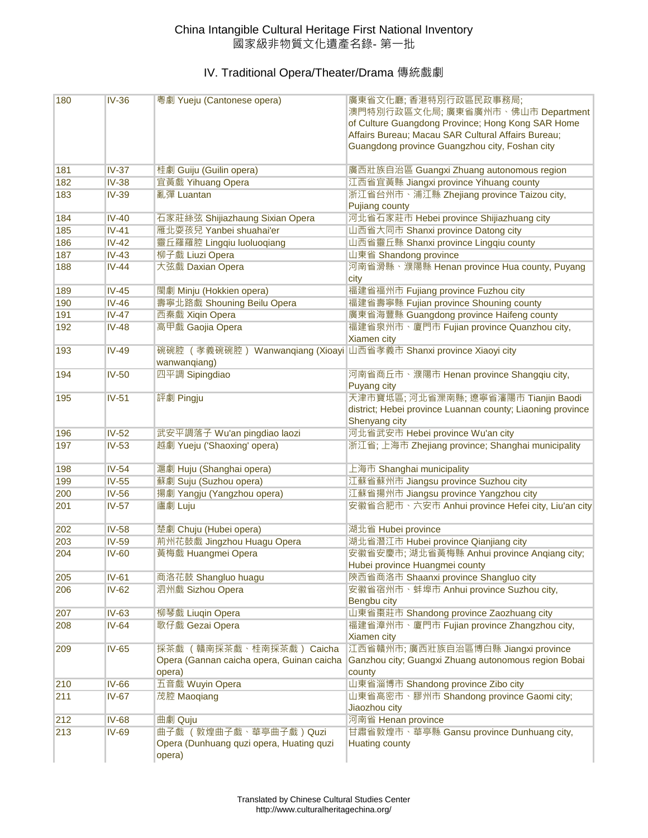| 180 | $IV-36$      | 粤劇 Yueju (Cantonese opera)                                         | 廣東省文化廳;香港特別行政區民政事務局;                                              |
|-----|--------------|--------------------------------------------------------------------|-------------------------------------------------------------------|
|     |              |                                                                    | 澳門特別行政區文化局; 廣東省廣州市、佛山市 Department                                 |
|     |              |                                                                    | of Culture Guangdong Province; Hong Kong SAR Home                 |
|     |              |                                                                    | Affairs Bureau; Macau SAR Cultural Affairs Bureau;                |
|     |              |                                                                    | Guangdong province Guangzhou city, Foshan city                    |
| 181 | $IV-37$      | 桂劇 Guiju (Guilin opera)                                            | 廣西壯族自治區 Guangxi Zhuang autonomous region                          |
| 182 | $IV-38$      | 宜黃戲 Yihuang Opera                                                  | 江西省宜黃縣 Jiangxi province Yihuang county                            |
| 183 | $IV-39$      | 亂彈 Luantan                                                         | 浙江省台州市、浦江縣 Zhejiang province Taizou city,                         |
|     |              |                                                                    | <b>Pujiang county</b>                                             |
| 184 | $IV-40$      | 石家莊絲弦 Shijiazhaung Sixian Opera                                    | 河北省石家莊市 Hebei province Shijiazhuang city                          |
| 185 | $IV-41$      | 雁北耍孩兒 Yanbei shuahai'er                                            | 山西省大同市 Shanxi province Datong city                                |
| 186 | $IV-42$      | 靈丘羅羅腔 Lingqiu luoluoqiang                                          | 山西省靈丘縣 Shanxi province Lingqiu county                             |
| 187 | $IV-43$      | 柳子戲 Liuzi Opera                                                    | 山東省 Shandong province                                             |
| 188 | $IV-44$      | 大弦戲 Daxian Opera                                                   | 河南省滑縣、濮陽縣 Henan province Hua county, Puyang                       |
|     |              |                                                                    | city                                                              |
| 189 | $IV-45$      | 閩劇 Minju (Hokkien opera)                                           | 福建省福州市 Fujiang province Fuzhou city                               |
| 190 | $IV-46$      | 壽寧北路戲 Shouning Beilu Opera                                         | 福建省壽寧縣 Fujian province Shouning county                            |
| 191 | $IV-47$      | 西秦戲 Xiqin Opera                                                    | 廣東省海豐縣 Guangdong province Haifeng county                          |
| 192 | $IV-48$      | 高甲戲 Gaojia Opera                                                   | 福建省泉州市、廈門市 Fujian province Quanzhou city,<br>Xiamen city          |
| 193 | $IV-49$      | 碗碗腔 (孝義碗碗腔) Wanwanqiang (Xioayi 山西省孝義市 Shanxi province Xiaoyi city |                                                                   |
|     |              | wanwanqiang)                                                       |                                                                   |
| 194 | $IV-50$      | 四平調 Sipingdiao                                                     | 河南省商丘市、濮陽市 Henan province Shangqiu city,                          |
|     |              |                                                                    | Puyang city                                                       |
| 195 | $IV-51$      | 評劇 Pingju                                                          | 天津市寶坻區; 河北省灤南縣; 遼寧省瀋陽市 Tianjin Baodi                              |
|     |              |                                                                    | district; Hebei province Luannan county; Liaoning province        |
|     |              |                                                                    | Shenyang city                                                     |
| 196 | $IV-52$      | 武安平調落子 Wu'an pingdiao laozi                                        | 河北省武安市 Hebei province Wu'an city                                  |
| 197 | $IV-53$      | 越劇 Yueju ('Shaoxing' opera)                                        | 浙江省; 上海市 Zhejiang province; Shanghai municipality                 |
| 198 | $IV-54$      | 滬劇 Huju (Shanghai opera)                                           | 上海市 Shanghai municipality                                         |
| 199 | $IV-55$      | 蘇劇 Suju (Suzhou opera)                                             | 江蘇省蘇州市 Jiangsu province Suzhou city                               |
| 200 | $IV-56$      | 揚劇 Yangju (Yangzhou opera)                                         | 江蘇省揚州市 Jiangsu province Yangzhou city                             |
| 201 | $IV-57$      | 廬劇 Luju                                                            | 安徽省合肥市、六安市 Anhui province Hefei city, Liu'an city                 |
| 202 | $IV-58$      | 楚劇 Chuju (Hubei opera)                                             | 湖北省 Hubei province                                                |
| 203 | $IV-59$      | 荊州花鼓戲 Jingzhou Huagu Opera                                         | 湖北省潛江市 Hubei province Qianjiang city                              |
| 204 | $IV-60$      | 黃梅戲 Huangmei Opera                                                 | 安徽省安慶市; 湖北省黃梅縣 Anhui province Angiang city;                       |
|     |              |                                                                    | Hubei province Huangmei county                                    |
| 205 |              |                                                                    |                                                                   |
| 206 | $IV-61$      | 商洛花鼓 Shangluo huagu                                                | 陝西省商洛市 Shaanxi province Shangluo city                             |
|     | IV-62        | 泗州戲 Sizhou Opera                                                   | 安徽省宿州市、蚌埠市 Anhui province Suzhou city,                            |
|     |              |                                                                    | Bengbu city                                                       |
| 207 | $IV-63$      | 柳琴戲 Liuqin Opera                                                   | 山東省棗莊市 Shandong province Zaozhuang city                           |
| 208 | $IV-64$      | 歌仔戲 Gezai Opera                                                    | 福建省漳州市、廈門市 Fujian province Zhangzhou city,                        |
|     |              |                                                                    | Xiamen city                                                       |
| 209 | $IV-65$      | 採茶戲 (贛南採茶戲、桂南採茶戲) Caicha                                           | 江西省贛州市; 廣西壯族自治區博白縣 Jiangxi province                               |
|     |              | Opera (Gannan caicha opera, Guinan caicha                          | Ganzhou city; Guangxi Zhuang autonomous region Bobai              |
|     |              | opera)                                                             | county                                                            |
| 210 | $IV-66$      | 五音戲 Wuyin Opera                                                    | 山東省淄博市 Shandong province Zibo city                                |
| 211 | $IV-67$      | 茂腔 Maoqiang                                                        | 山東省高密市、膠州市 Shandong province Gaomi city;                          |
| 212 | <b>IV-68</b> | 曲劇 Quju                                                            | Jiaozhou city                                                     |
| 213 | $IV-69$      | 曲子戲 (敦煌曲子戲、華亭曲子戲) Quzi                                             | 河南省 Henan province                                                |
|     |              | Opera (Dunhuang quzi opera, Huating quzi                           | 甘肅省敦煌市、華亭縣 Gansu province Dunhuang city,<br><b>Huating county</b> |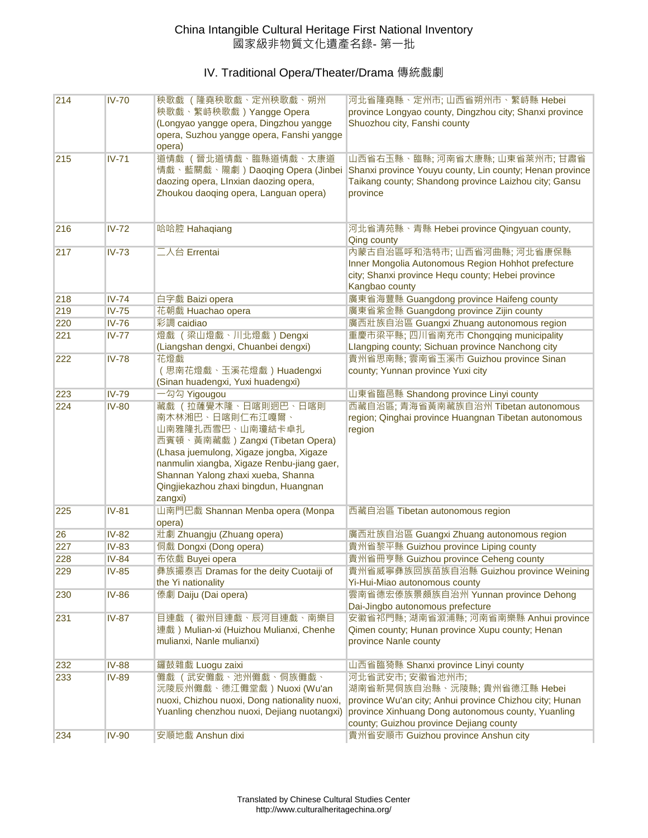## China Intangible Cultural Heritage First National Inventory 國家級非物質文化遺產名錄- 第一批

| 214 | <b>IV-70</b> | 秧歌戲 (隆堯秧歌戲、定州秧歌戲、朔州<br>秧歌戲、繁峙秧歌戲) Yangge Opera<br>(Longyao yangge opera, Dingzhou yangge<br>opera, Suzhou yangge opera, Fanshi yangge<br>opera)                                                                                                                                  | 河北省隆堯縣、定州市; 山西省朔州市、繁峙縣 Hebei<br>province Longyao county, Dingzhou city; Shanxi province<br>Shuozhou city, Fanshi county                                                                                     |
|-----|--------------|----------------------------------------------------------------------------------------------------------------------------------------------------------------------------------------------------------------------------------------------------------------------------------|-------------------------------------------------------------------------------------------------------------------------------------------------------------------------------------------------------------|
| 215 | $IV-71$      | 道情戲(晉北道情戲、臨縣道情戲、太康道<br>情戲、藍關戲、隴劇) Daoqing Opera (Jinbei<br>daozing opera, Llnxian daozing opera,<br>Zhoukou daoqing opera, Languan opera)                                                                                                                                        | 山西省右玉縣、臨縣; 河南省太康縣; 山東省萊州市; 甘肅省<br>Shanxi province Youyu county, Lin county; Henan province<br>Taikang county; Shandong province Laizhou city; Gansu<br>province                                             |
| 216 | $IV-72$      | 哈哈腔 Hahaqiang                                                                                                                                                                                                                                                                    | 河北省清苑縣、青縣 Hebei province Qingyuan county,<br>Qing county                                                                                                                                                    |
| 217 | $IV-73$      | 二人台 Errentai                                                                                                                                                                                                                                                                     | 内蒙古自治區呼和浩特市;山西省河曲縣;河北省康保縣<br>Inner Mongolia Autonomous Region Hohhot prefecture<br>city; Shanxi province Hequ county; Hebei province<br>Kangbao county                                                      |
| 218 | $IV-74$      | 白字戲 Baizi opera                                                                                                                                                                                                                                                                  | 廣東省海豐縣 Guangdong province Haifeng county                                                                                                                                                                    |
| 219 | $IV-75$      | 花朝戲 Huachao opera                                                                                                                                                                                                                                                                | 廣東省紫金縣 Guangdong province Zijin county                                                                                                                                                                      |
| 220 | <b>IV-76</b> | 彩調 caidiao                                                                                                                                                                                                                                                                       | 廣西壯族自治區 Guangxi Zhuang autonomous region                                                                                                                                                                    |
| 221 | $IV-77$      | 燈戲 (梁山燈戲、川北燈戲)Dengxi<br>(Liangshan dengxi, Chuanbei dengxi)                                                                                                                                                                                                                      | 重慶市梁平縣; 四川省南充市 Chongqing municipality<br>Llangping county; Sichuan province Nanchong city                                                                                                                   |
| 222 | $IV-78$      | 花燈戲<br>(思南花燈戲、玉溪花燈戲) Huadengxi<br>(Sinan huadengxi, Yuxi huadengxi)                                                                                                                                                                                                              | 貴州省思南縣; 雲南省玉溪市 Guizhou province Sinan<br>county; Yunnan province Yuxi city                                                                                                                                  |
| 223 | <b>IV-79</b> | 一勾勾 Yigougou                                                                                                                                                                                                                                                                     | 山東省臨邑縣 Shandong province Linyi county                                                                                                                                                                       |
| 224 | <b>IV-80</b> | 藏戲(拉薩覺木隆、日喀則迥巴、日喀則<br>南木林湘巴、日喀則仁布江嘎爾、<br>山南雅隆扎西雪巴、山南瓊結卡卓扎<br>西賓頓、黃南藏戲) Zangxi (Tibetan Opera)<br>(Lhasa juemulong, Xigaze jongba, Xigaze<br>nanmulin xiangba, Xigaze Renbu-jiang gaer,<br>Shannan Yalong zhaxi xueba, Shanna<br>Qingjiekazhou zhaxi bingdun, Huangnan<br>zangxi) | 西藏自治區; 青海省黃南藏族自治州 Tibetan autonomous<br>region; Qinghai province Huangnan Tibetan autonomous<br>region                                                                                                      |
| 225 | $IV-81$      | 山南門巴戲 Shannan Menba opera (Monpa<br>opera)                                                                                                                                                                                                                                       | 西藏自治區 Tibetan autonomous region                                                                                                                                                                             |
| 26  | <b>IV-82</b> | 壯劇 Zhuangju (Zhuang opera)                                                                                                                                                                                                                                                       | 廣西壯族自治區 Guangxi Zhuang autonomous region                                                                                                                                                                    |
| 227 | $IV-83$      | 侗戲 Dongxi (Dong opera)                                                                                                                                                                                                                                                           | 貴州省黎平縣 Guizhou province Liping county                                                                                                                                                                       |
| 228 | <b>IV-84</b> | 布依戲 Buyei opera                                                                                                                                                                                                                                                                  | 貴州省冊亨縣 Guizhou province Ceheng county                                                                                                                                                                       |
| 229 | $IV-85$      | 彝族撮泰吉 Dramas for the deity Cuotaiji of<br>the Yi nationality                                                                                                                                                                                                                     | 貴州省威寧彝族回族苗族自治縣 Guizhou province Weining<br>Yi-Hui-Miao autonomous county                                                                                                                                    |
| 230 | <b>IV-86</b> | 傣劇 Daiju (Dai opera)                                                                                                                                                                                                                                                             | 雲南省德宏傣族景頗族自治州 Yunnan province Dehong<br>Dai-Jingbo autonomous prefecture                                                                                                                                    |
| 231 | $IV-87$      | 目連戲 (徽州目連戲、辰河目連戲、南樂目<br>連戲) Mulian-xi (Huizhou Mulianxi, Chenhe<br>mulianxi, Nanle mulianxi)                                                                                                                                                                                     | 安徽省祁門縣; 湖南省溆浦縣; 河南省南樂縣 Anhui province<br>Qimen county; Hunan province Xupu county; Henan<br>province Nanle county                                                                                           |
| 232 | <b>IV-88</b> | 鑼鼓雜戲 Luogu zaixi                                                                                                                                                                                                                                                                 | 山西省臨猗縣 Shanxi province Linyi county                                                                                                                                                                         |
| 233 | <b>IV-89</b> | 儺戲 (武安儺戲、池州儺戲、侗族儺戲、<br>沅陵辰州儺戲、德江儺堂戲)Nuoxi (Wu'an<br>nuoxi, Chizhou nuoxi, Dong nationality nuoxi,<br>Yuanling chenzhou nuoxi, Dejiang nuotangxi)                                                                                                                                 | 河北省武安市; 安徽省池州市;<br>湖南省新晃侗族自治縣、沅陵縣; 貴州省德江縣 Hebei<br>province Wu'an city; Anhui province Chizhou city; Hunan<br>province Xinhuang Dong autonomous county, Yuanling<br>county; Guizhou province Dejiang county |
| 234 | <b>IV-90</b> | 安順地戲 Anshun dixi                                                                                                                                                                                                                                                                 | 貴州省安順市 Guizhou province Anshun city                                                                                                                                                                         |